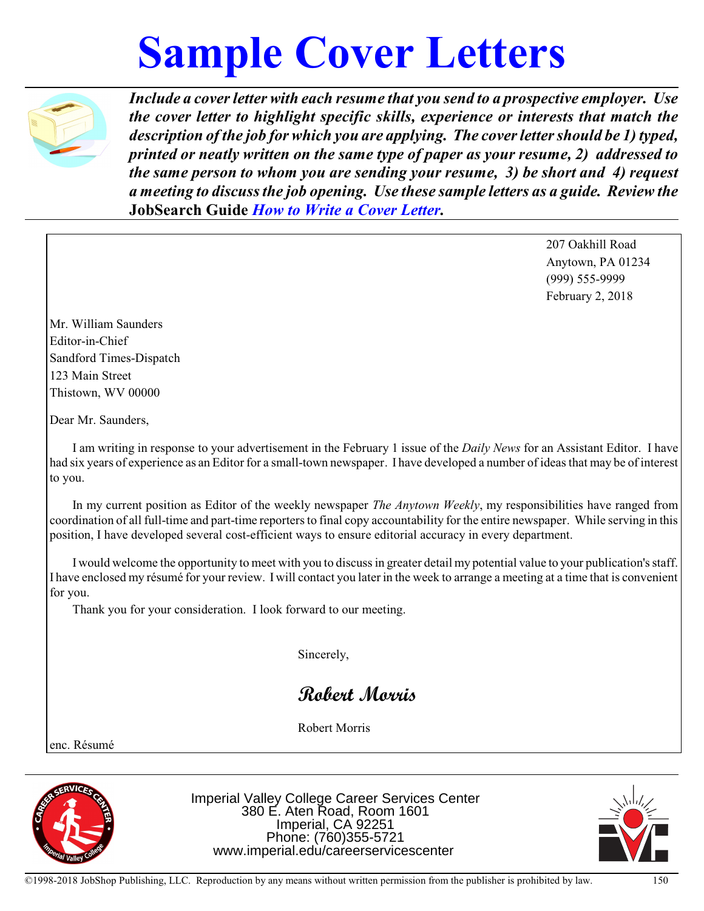## **Sample Cover Letters**



*Include a coverletter with each resume that you send to a prospective employer. Use the cover letter to highlight specific skills, experience or interests that match the description of the job for which you are applying. The coverlettershould be 1) typed, printed or neatly written on the same type of paper as your resume, 2) addressed to the same person to whom you are sending your resume, 3) be short and 4) request a meeting to discussthe job opening. Use these sample letters as a guide. Review the* **JobSearch Guide** *How to Write a Cover Letter.*

> 207 Oakhill Road Anytown, PA 01234 (999) 555-9999 February 2, 2018

Mr. William Saunders Editor-in-Chief Sandford Times-Dispatch 123 Main Street Thistown, WV 00000

Dear Mr. Saunders,

I am writing in response to your advertisement in the February 1 issue of the *Daily News* for an Assistant Editor. I have had six years of experience as an Editor for a small-town newspaper. I have developed a number of ideas that may be of interest to you.

In my current position as Editor of the weekly newspaper *The Anytown Weekly*, my responsibilities have ranged from coordination of all full-time and part-time reporters to final copy accountability for the entire newspaper. While serving in this position, I have developed several cost-efficient ways to ensure editorial accuracy in every department.

I would welcome the opportunity to meet with you to discuss in greater detail my potential value to your publication's staff. I have enclosed my résumé for your review. I will contact you later in the week to arrange a meeting at a time that is convenient for you.

Thank you for your consideration. I look forward to our meeting.

Sincerely,

*Robert Morris*

Robert Morris

enc. Résumé



Imperial Valley College Career Services Center 380 E. Aten Road, Room 1601 Imperial, CA 92251 Phone: (760)355-5721 www.imperial.edu/careerservicescenter